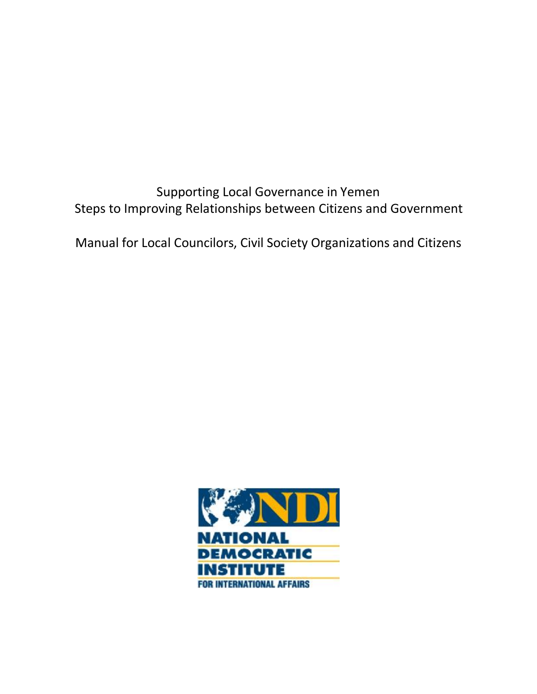Supporting Local Governance in Yemen Steps to Improving Relationships between Citizens and Government

Manual for Local Councilors, Civil Society Organizations and Citizens

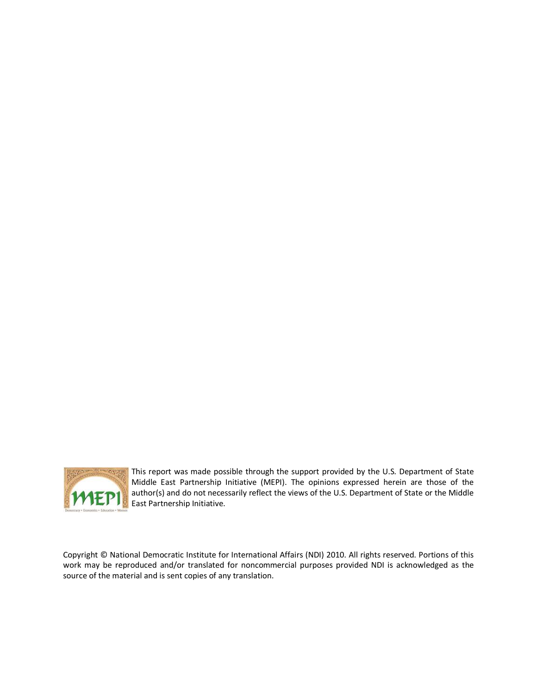

This report was made possible through the support provided by the U.S. Department of State Middle East Partnership Initiative (MEPI). The opinions expressed herein are those of the author(s) and do not necessarily reflect the views of the U.S. Department of State or the Middle East Partnership Initiative.

Copyright © National Democratic Institute for International Affairs (NDI) 2010. All rights reserved. Portions of this work may be reproduced and/or translated for noncommercial purposes provided NDI is acknowledged as the source of the material and is sent copies of any translation.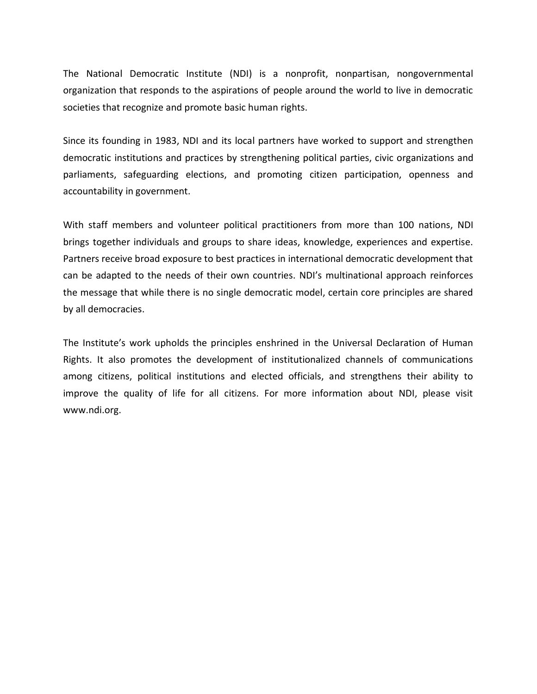The National Democratic Institute (NDI) is a nonprofit, nonpartisan, nongovernmental organization that responds to the aspirations of people around the world to live in democratic societies that recognize and promote basic human rights.

Since its founding in 1983, NDI and its local partners have worked to support and strengthen democratic institutions and practices by strengthening political parties, civic organizations and parliaments, safeguarding elections, and promoting citizen participation, openness and accountability in government.

With staff members and volunteer political practitioners from more than 100 nations, NDI brings together individuals and groups to share ideas, knowledge, experiences and expertise. Partners receive broad exposure to best practices in international democratic development that can be adapted to the needs of their own countries. NDI's multinational approach reinforces the message that while there is no single democratic model, certain core principles are shared by all democracies.

The Institute's work upholds the principles enshrined in the Universal Declaration of Human Rights. It also promotes the development of institutionalized channels of communications among citizens, political institutions and elected officials, and strengthens their ability to improve the quality of life for all citizens. For more information about NDI, please visit www.ndi.org.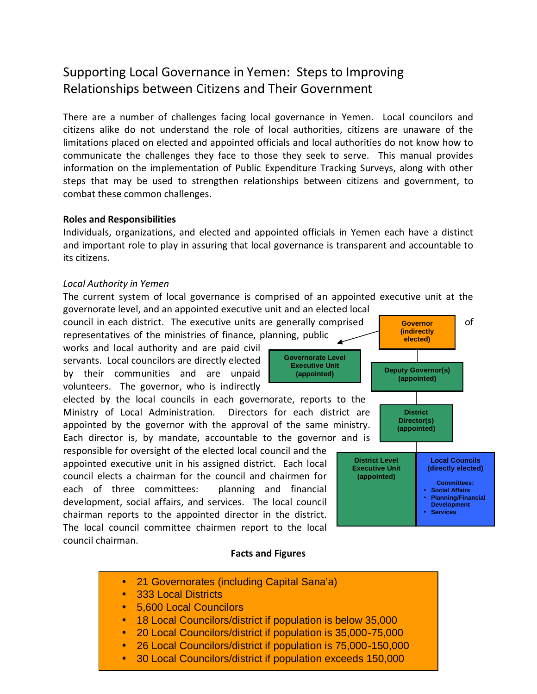# Supporting Local Governance in Yemen: Steps to Improving Relationships between Citizens and Their Government

There are a number of challenges facing local governance in Yemen. Local councilors and citizens alike do not understand the role of local authorities, citizens are unaware of the limitations placed on elected and appointed officials and local authorities do not know how to communicate the challenges they face to those they seek to serve. This manual provides information on the implementation of Public Expenditure Tracking Surveys, along with other steps that may be used to strengthen relationships between citizens and government, to combat these common challenges.

#### **Roles and Responsibilities**

Individuals, organizations, and elected and appointed officials in Yemen each have a distinct and important role to play in assuring that local governance is transparent and accountable to its citizens.

#### *Local Authority in Yemen*

The current system of local governance is comprised of an appointed executive unit at the governorate level, and an appointed executive unit and an elected local

council in each district. The executive units are generally comprised  $\overline{\phantom{a}}$  **Governor**  $\overline{\phantom{a}}$  of representatives of the ministries of finance, planning, public

works and local authority and are paid civil servants. Local councilors are directly elected by their communities and are unpaid volunteers. The governor, who is indirectly

elected by the local councils in each governorate, reports to the Ministry of Local Administration. Directors for each district are appointed by the governor with the approval of the same ministry. Each director is, by mandate, accountable to the governor and is

responsible for oversight of the elected local council and the appointed executive unit in his assigned district. Each local council elects a chairman for the council and chairmen for each of three committees: planning and financial development, social affairs, and services. The local council chairman reports to the appointed director in the district. The local council committee chairmen report to the local council chairman.



#### **Facts and Figures**

- 21 Governorates (including Capital Sana'a)
- 333 Local Districts
- 5,600 Local Councilors
- 18 Local Councilors/district if population is below 35,000
- 20 Local Councilors/district if population is 35,000-75,000
- 26 Local Councilors/district if population is 75,000-150,000
- 
- 30 Local Councilors/district if population exceeds 150,000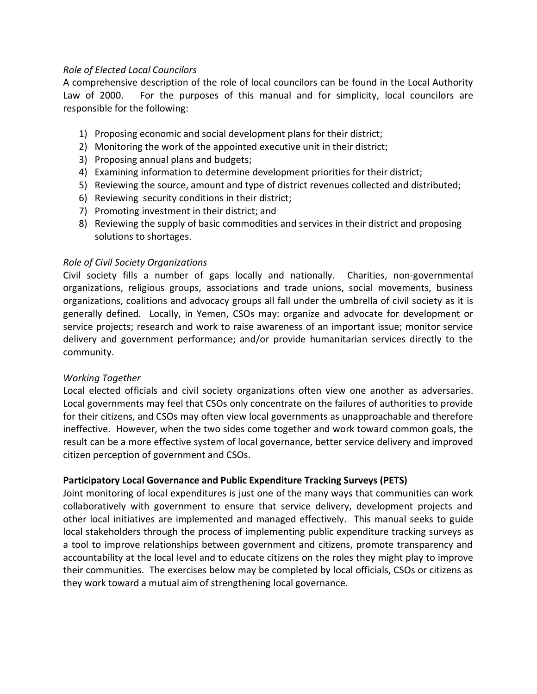# *Role of Elected Local Councilors*

A comprehensive description of the role of local councilors can be found in the Local Authority Law of 2000. For the purposes of this manual and for simplicity, local councilors are responsible for the following:

- 1) Proposing economic and social development plans for their district;
- 2) Monitoring the work of the appointed executive unit in their district;
- 3) Proposing annual plans and budgets;
- 4) Examining information to determine development priorities for their district;
- 5) Reviewing the source, amount and type of district revenues collected and distributed;
- 6) Reviewing security conditions in their district;
- 7) Promoting investment in their district; and
- 8) Reviewing the supply of basic commodities and services in their district and proposing solutions to shortages.

#### *Role of Civil Society Organizations*

Civil society fills a number of gaps locally and nationally. Charities, non-governmental organizations, religious groups, associations and trade unions, social movements, business organizations, coalitions and advocacy groups all fall under the umbrella of civil society as it is generally defined. Locally, in Yemen, CSOs may: organize and advocate for development or service projects; research and work to raise awareness of an important issue; monitor service delivery and government performance; and/or provide humanitarian services directly to the community.

#### *Working Together*

Local elected officials and civil society organizations often view one another as adversaries. Local governments may feel that CSOs only concentrate on the failures of authorities to provide for their citizens, and CSOs may often view local governments as unapproachable and therefore ineffective. However, when the two sides come together and work toward common goals, the result can be a more effective system of local governance, better service delivery and improved citizen perception of government and CSOs.

#### **Participatory Local Governance and Public Expenditure Tracking Surveys (PETS)**

Joint monitoring of local expenditures is just one of the many ways that communities can work collaboratively with government to ensure that service delivery, development projects and other local initiatives are implemented and managed effectively. This manual seeks to guide local stakeholders through the process of implementing public expenditure tracking surveys as a tool to improve relationships between government and citizens, promote transparency and accountability at the local level and to educate citizens on the roles they might play to improve their communities. The exercises below may be completed by local officials, CSOs or citizens as they work toward a mutual aim of strengthening local governance.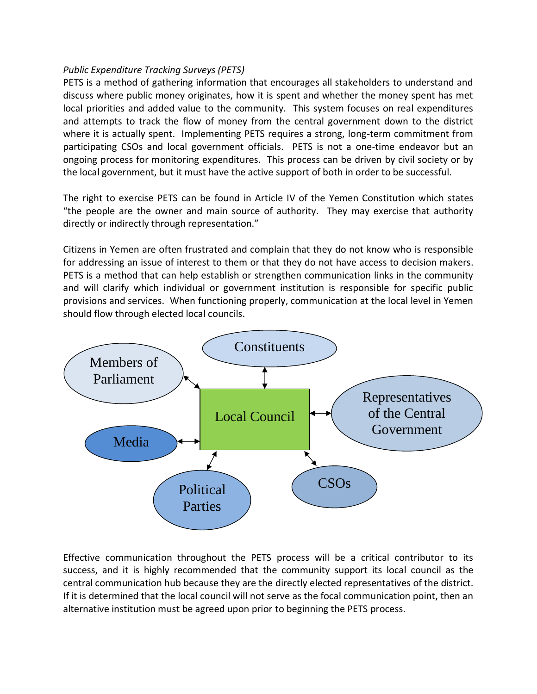# *Public Expenditure Tracking Surveys (PETS)*

PETS is a method of gathering information that encourages all stakeholders to understand and discuss where public money originates, how it is spent and whether the money spent has met local priorities and added value to the community. This system focuses on real expenditures and attempts to track the flow of money from the central government down to the district where it is actually spent. Implementing PETS requires a strong, long-term commitment from participating CSOs and local government officials. PETS is not a one-time endeavor but an ongoing process for monitoring expenditures. This process can be driven by civil society or by the local government, but it must have the active support of both in order to be successful.

The right to exercise PETS can be found in Article IV of the Yemen Constitution which states "the people are the owner and main source of authority. They may exercise that authority directly or indirectly through representation."

Citizens in Yemen are often frustrated and complain that they do not know who is responsible for addressing an issue of interest to them or that they do not have access to decision makers. PETS is a method that can help establish or strengthen communication links in the community and will clarify which individual or government institution is responsible for specific public provisions and services. When functioning properly, communication at the local level in Yemen should flow through elected local councils.



Effective communication throughout the PETS process will be a critical contributor to its success, and it is highly recommended that the community support its local council as the central communication hub because they are the directly elected representatives of the district. If it is determined that the local council will not serve as the focal communication point, then an alternative institution must be agreed upon prior to beginning the PETS process.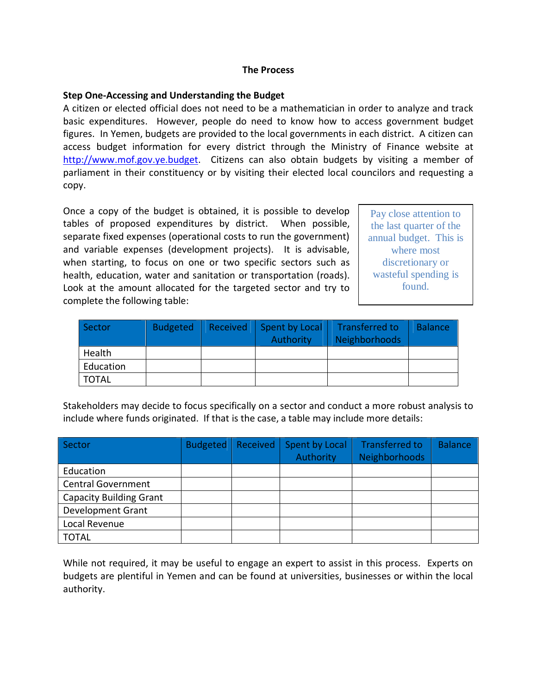#### **The Process**

#### **Step One-Accessing and Understanding the Budget**

A citizen or elected official does not need to be a mathematician in order to analyze and track basic expenditures. However, people do need to know how to access government budget figures. In Yemen, budgets are provided to the local governments in each district. A citizen can access budget information for every district through the Ministry of Finance website at http://www.mof.gov.ye.budget. Citizens can also obtain budgets by visiting a member of parliament in their constituency or by visiting their elected local councilors and requesting a copy.

Once a copy of the budget is obtained, it is possible to develop tables of proposed expenditures by district. When possible, separate fixed expenses (operational costs to run the government) and variable expenses (development projects). It is advisable, when starting, to focus on one or two specific sectors such as health, education, water and sanitation or transportation (roads). Look at the amount allocated for the targeted sector and try to complete the following table:

Pay close attention to the last quarter of the annual budget. This is where most discretionary or wasteful spending is found.

| Sector    | <b>Budgeted</b> | Received | Spent by Local<br>Authority | Transferred to<br><b>Neighborhoods</b> | <b>Balance</b> |
|-----------|-----------------|----------|-----------------------------|----------------------------------------|----------------|
|           |                 |          |                             |                                        |                |
| Health    |                 |          |                             |                                        |                |
| Education |                 |          |                             |                                        |                |
| TOTAL     |                 |          |                             |                                        |                |

Stakeholders may decide to focus specifically on a sector and conduct a more robust analysis to include where funds originated. If that is the case, a table may include more details:

| Sector                         | <b>Budgeted</b> | Received | Spent by Local | <b>Transferred to</b> | <b>Balance</b> |
|--------------------------------|-----------------|----------|----------------|-----------------------|----------------|
|                                |                 |          | Authority      | <b>Neighborhoods</b>  |                |
| Education                      |                 |          |                |                       |                |
| <b>Central Government</b>      |                 |          |                |                       |                |
| <b>Capacity Building Grant</b> |                 |          |                |                       |                |
| <b>Development Grant</b>       |                 |          |                |                       |                |
| Local Revenue                  |                 |          |                |                       |                |
| <b>TOTAL</b>                   |                 |          |                |                       |                |

While not required, it may be useful to engage an expert to assist in this process. Experts on budgets are plentiful in Yemen and can be found at universities, businesses or within the local authority.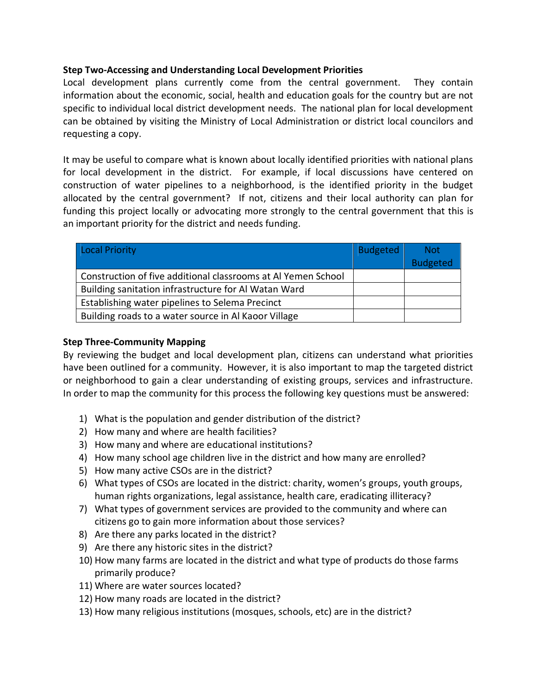# **Step Two-Accessing and Understanding Local Development Priorities**

Local development plans currently come from the central government. They contain information about the economic, social, health and education goals for the country but are not specific to individual local district development needs. The national plan for local development can be obtained by visiting the Ministry of Local Administration or district local councilors and requesting a copy.

It may be useful to compare what is known about locally identified priorities with national plans for local development in the district. For example, if local discussions have centered on construction of water pipelines to a neighborhood, is the identified priority in the budget allocated by the central government? If not, citizens and their local authority can plan for funding this project locally or advocating more strongly to the central government that this is an important priority for the district and needs funding.

| Local Priority                                                | <b>Budgeted</b> | <b>Not</b>      |
|---------------------------------------------------------------|-----------------|-----------------|
|                                                               |                 | <b>Budgeted</b> |
| Construction of five additional classrooms at Al Yemen School |                 |                 |
| Building sanitation infrastructure for Al Watan Ward          |                 |                 |
| Establishing water pipelines to Selema Precinct               |                 |                 |
| Building roads to a water source in Al Kaoor Village          |                 |                 |

### **Step Three-Community Mapping**

By reviewing the budget and local development plan, citizens can understand what priorities have been outlined for a community. However, it is also important to map the targeted district or neighborhood to gain a clear understanding of existing groups, services and infrastructure. In order to map the community for this process the following key questions must be answered:

- 1) What is the population and gender distribution of the district?
- 2) How many and where are health facilities?
- 3) How many and where are educational institutions?
- 4) How many school age children live in the district and how many are enrolled?
- 5) How many active CSOs are in the district?
- 6) What types of CSOs are located in the district: charity, women's groups, youth groups, human rights organizations, legal assistance, health care, eradicating illiteracy?
- 7) What types of government services are provided to the community and where can citizens go to gain more information about those services?
- 8) Are there any parks located in the district?
- 9) Are there any historic sites in the district?
- 10) How many farms are located in the district and what type of products do those farms primarily produce?
- 11) Where are water sources located?
- 12) How many roads are located in the district?
- 13) How many religious institutions (mosques, schools, etc) are in the district?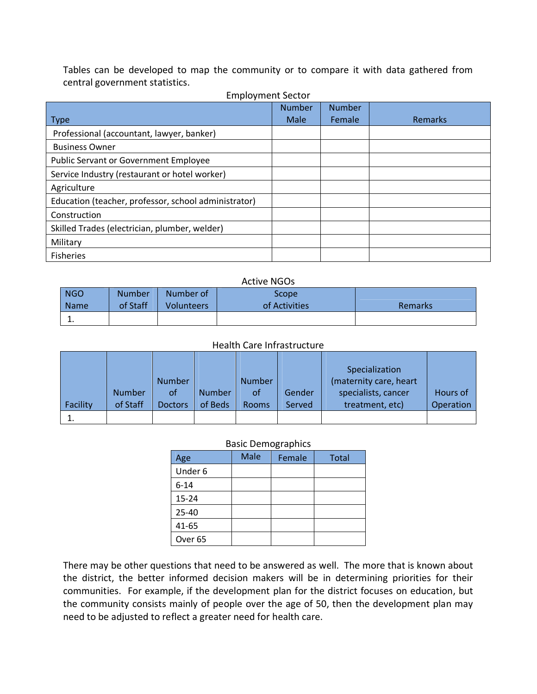Tables can be developed to map the community or to compare it with data gathered from central government statistics.

| Linprovincing Sector                                 | <b>Number</b> | <b>Number</b> |         |
|------------------------------------------------------|---------------|---------------|---------|
| <b>Type</b>                                          | Male          | Female        | Remarks |
| Professional (accountant, lawyer, banker)            |               |               |         |
| <b>Business Owner</b>                                |               |               |         |
| <b>Public Servant or Government Employee</b>         |               |               |         |
| Service Industry (restaurant or hotel worker)        |               |               |         |
| Agriculture                                          |               |               |         |
| Education (teacher, professor, school administrator) |               |               |         |
| Construction                                         |               |               |         |
| Skilled Trades (electrician, plumber, welder)        |               |               |         |
| Military                                             |               |               |         |
| <b>Fisheries</b>                                     |               |               |         |

#### Employment Sector

#### Active NGOs NGO Name Number of Staff Number of Volunteers Scope of Activities **Remarks** 1.

#### Health Care Infrastructure

|          |               |                |               |               |        | Specialization         |           |
|----------|---------------|----------------|---------------|---------------|--------|------------------------|-----------|
|          |               | <b>Number</b>  |               | <b>Number</b> |        | (maternity care, heart |           |
|          | <b>Number</b> | of             | <b>Number</b> | of            | Gender | specialists, cancer    | Hours of  |
| Facility | of Staff      | <b>Doctors</b> | of Beds       | <b>Rooms</b>  | Served | treatment, etc)        | Operation |
|          |               |                |               |               |        |                        |           |

### Basic Demographics

| Age                | Male | Female | <b>Total</b> |
|--------------------|------|--------|--------------|
| Under 6            |      |        |              |
| $6 - 14$           |      |        |              |
| $15 - 24$          |      |        |              |
| 25-40              |      |        |              |
| 41-65              |      |        |              |
| Over <sub>65</sub> |      |        |              |

There may be other questions that need to be answered as well. The more that is known about the district, the better informed decision makers will be in determining priorities for their communities. For example, if the development plan for the district focuses on education, but the community consists mainly of people over the age of 50, then the development plan may need to be adjusted to reflect a greater need for health care.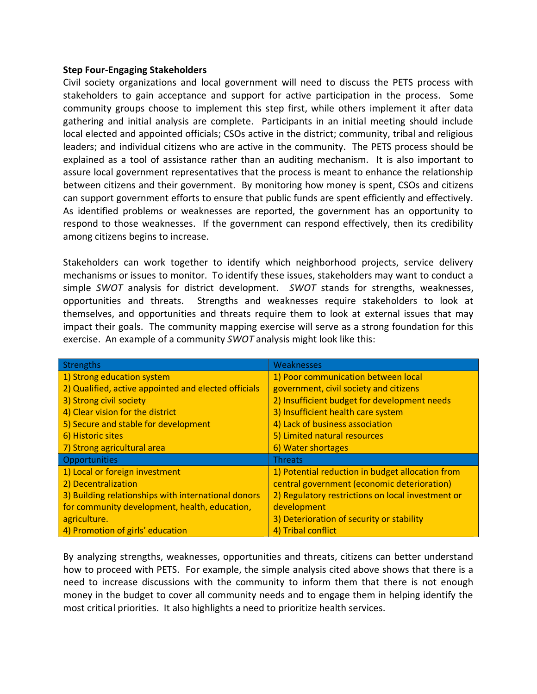#### **Step Four-Engaging Stakeholders**

Civil society organizations and local government will need to discuss the PETS process with stakeholders to gain acceptance and support for active participation in the process. Some community groups choose to implement this step first, while others implement it after data gathering and initial analysis are complete. Participants in an initial meeting should include local elected and appointed officials; CSOs active in the district; community, tribal and religious leaders; and individual citizens who are active in the community. The PETS process should be explained as a tool of assistance rather than an auditing mechanism. It is also important to assure local government representatives that the process is meant to enhance the relationship between citizens and their government. By monitoring how money is spent, CSOs and citizens can support government efforts to ensure that public funds are spent efficiently and effectively. As identified problems or weaknesses are reported, the government has an opportunity to respond to those weaknesses. If the government can respond effectively, then its credibility among citizens begins to increase.

Stakeholders can work together to identify which neighborhood projects, service delivery mechanisms or issues to monitor. To identify these issues, stakeholders may want to conduct a simple *SWOT* analysis for district development. *SWOT* stands for strengths, weaknesses, opportunities and threats. Strengths and weaknesses require stakeholders to look at themselves, and opportunities and threats require them to look at external issues that may impact their goals. The community mapping exercise will serve as a strong foundation for this exercise. An example of a community *SWOT* analysis might look like this:

| <b>Strengths</b>                                     | Weaknesses                                        |
|------------------------------------------------------|---------------------------------------------------|
| 1) Strong education system                           | 1) Poor communication between local               |
| 2) Qualified, active appointed and elected officials | government, civil society and citizens            |
| 3) Strong civil society                              | 2) Insufficient budget for development needs      |
| 4) Clear vision for the district                     | 3) Insufficient health care system                |
| 5) Secure and stable for development                 | 4) Lack of business association                   |
| 6) Historic sites                                    | 5) Limited natural resources                      |
| 7) Strong agricultural area                          | 6) Water shortages                                |
| <b>Opportunities</b>                                 | <b>Threats</b>                                    |
| 1) Local or foreign investment                       | 1) Potential reduction in budget allocation from  |
| 2) Decentralization                                  | central government (economic deterioration)       |
| 3) Building relationships with international donors  | 2) Regulatory restrictions on local investment or |
| for community development, health, education,        | development                                       |
| agriculture.                                         | 3) Deterioration of security or stability         |
| 4) Promotion of girls' education                     | 4) Tribal conflict                                |

By analyzing strengths, weaknesses, opportunities and threats, citizens can better understand how to proceed with PETS. For example, the simple analysis cited above shows that there is a need to increase discussions with the community to inform them that there is not enough money in the budget to cover all community needs and to engage them in helping identify the most critical priorities. It also highlights a need to prioritize health services.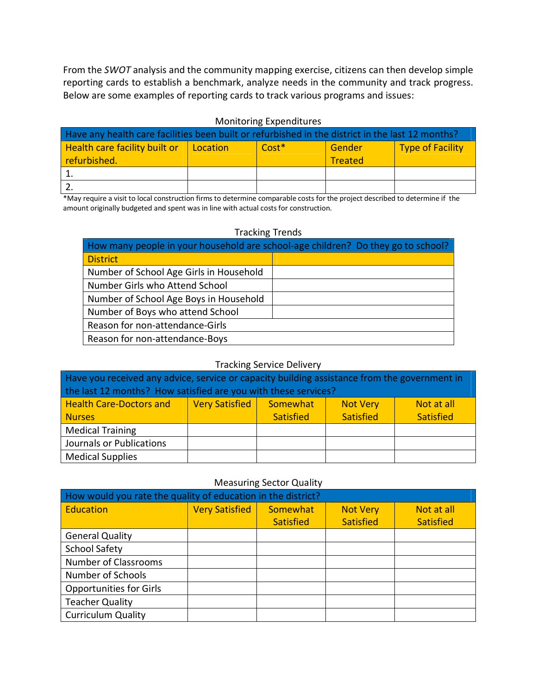From the *SWOT* analysis and the community mapping exercise, citizens can then develop simple reporting cards to establish a benchmark, analyze needs in the community and track progress. Below are some examples of reporting cards to track various programs and issues:

#### Monitoring Expenditures

| Have any health care facilities been built or refurbished in the district in the last 12 months? |          |         |                |                         |  |
|--------------------------------------------------------------------------------------------------|----------|---------|----------------|-------------------------|--|
| Health care facility built or                                                                    | Location | $Cost*$ | Gender         | <b>Type of Facility</b> |  |
| refurbished.                                                                                     |          |         | <b>Treated</b> |                         |  |
|                                                                                                  |          |         |                |                         |  |
|                                                                                                  |          |         |                |                         |  |

\*May require a visit to local construction firms to determine comparable costs for the project described to determine if the amount originally budgeted and spent was in line with actual costs for construction.

#### Tracking Trends

| How many people in your household are school-age children? Do they go to school? |  |  |  |  |  |  |
|----------------------------------------------------------------------------------|--|--|--|--|--|--|
| <b>District</b>                                                                  |  |  |  |  |  |  |
| Number of School Age Girls in Household                                          |  |  |  |  |  |  |
| Number Girls who Attend School                                                   |  |  |  |  |  |  |
| Number of School Age Boys in Household                                           |  |  |  |  |  |  |
| Number of Boys who attend School                                                 |  |  |  |  |  |  |
| Reason for non-attendance-Girls                                                  |  |  |  |  |  |  |
| Reason for non-attendance-Boys                                                   |  |  |  |  |  |  |

#### Tracking Service Delivery

| Have you received any advice, service or capacity building assistance from the government in         |                                                          |  |  |  |  |  |
|------------------------------------------------------------------------------------------------------|----------------------------------------------------------|--|--|--|--|--|
| the last 12 months? How satisfied are you with these services?                                       |                                                          |  |  |  |  |  |
| <b>Very Satisfied</b><br><b>Health Care-Doctors and</b><br>Somewhat<br>Not at all<br><b>Not Very</b> |                                                          |  |  |  |  |  |
| <b>Nurses</b>                                                                                        | <b>Satisfied</b><br><b>Satisfied</b><br><b>Satisfied</b> |  |  |  |  |  |
| <b>Medical Training</b>                                                                              |                                                          |  |  |  |  |  |
| Journals or Publications                                                                             |                                                          |  |  |  |  |  |
| <b>Medical Supplies</b>                                                                              |                                                          |  |  |  |  |  |

#### Measuring Sector Quality

| How would you rate the quality of education in the district? |                       |                              |                                     |                                |  |  |  |
|--------------------------------------------------------------|-----------------------|------------------------------|-------------------------------------|--------------------------------|--|--|--|
| Education                                                    | <b>Very Satisfied</b> | Somewhat<br><b>Satisfied</b> | <b>Not Very</b><br><b>Satisfied</b> | Not at all<br><b>Satisfied</b> |  |  |  |
| <b>General Quality</b>                                       |                       |                              |                                     |                                |  |  |  |
| <b>School Safety</b>                                         |                       |                              |                                     |                                |  |  |  |
| <b>Number of Classrooms</b>                                  |                       |                              |                                     |                                |  |  |  |
| Number of Schools                                            |                       |                              |                                     |                                |  |  |  |
| <b>Opportunities for Girls</b>                               |                       |                              |                                     |                                |  |  |  |
| <b>Teacher Quality</b>                                       |                       |                              |                                     |                                |  |  |  |
| <b>Curriculum Quality</b>                                    |                       |                              |                                     |                                |  |  |  |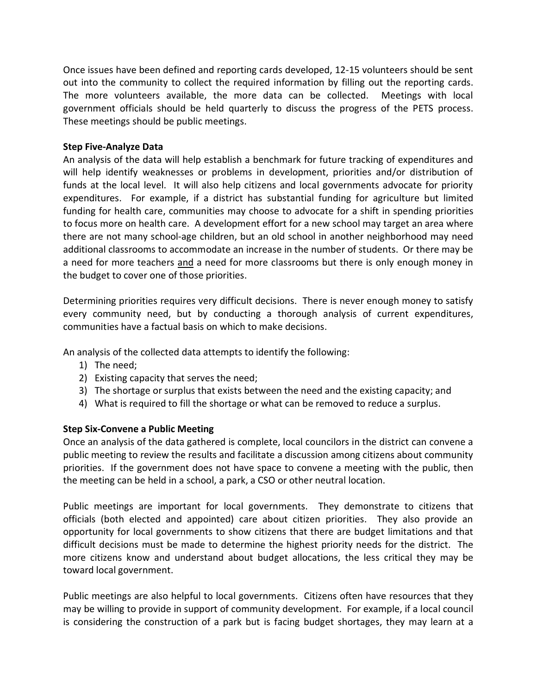Once issues have been defined and reporting cards developed, 12-15 volunteers should be sent out into the community to collect the required information by filling out the reporting cards. The more volunteers available, the more data can be collected. Meetings with local government officials should be held quarterly to discuss the progress of the PETS process. These meetings should be public meetings.

# **Step Five-Analyze Data**

An analysis of the data will help establish a benchmark for future tracking of expenditures and will help identify weaknesses or problems in development, priorities and/or distribution of funds at the local level. It will also help citizens and local governments advocate for priority expenditures. For example, if a district has substantial funding for agriculture but limited funding for health care, communities may choose to advocate for a shift in spending priorities to focus more on health care. A development effort for a new school may target an area where there are not many school-age children, but an old school in another neighborhood may need additional classrooms to accommodate an increase in the number of students. Or there may be a need for more teachers and a need for more classrooms but there is only enough money in the budget to cover one of those priorities.

Determining priorities requires very difficult decisions. There is never enough money to satisfy every community need, but by conducting a thorough analysis of current expenditures, communities have a factual basis on which to make decisions.

An analysis of the collected data attempts to identify the following:

- 1) The need;
- 2) Existing capacity that serves the need;
- 3) The shortage or surplus that exists between the need and the existing capacity; and
- 4) What is required to fill the shortage or what can be removed to reduce a surplus.

# **Step Six-Convene a Public Meeting**

Once an analysis of the data gathered is complete, local councilors in the district can convene a public meeting to review the results and facilitate a discussion among citizens about community priorities. If the government does not have space to convene a meeting with the public, then the meeting can be held in a school, a park, a CSO or other neutral location.

Public meetings are important for local governments. They demonstrate to citizens that officials (both elected and appointed) care about citizen priorities. They also provide an opportunity for local governments to show citizens that there are budget limitations and that difficult decisions must be made to determine the highest priority needs for the district. The more citizens know and understand about budget allocations, the less critical they may be toward local government.

Public meetings are also helpful to local governments. Citizens often have resources that they may be willing to provide in support of community development. For example, if a local council is considering the construction of a park but is facing budget shortages, they may learn at a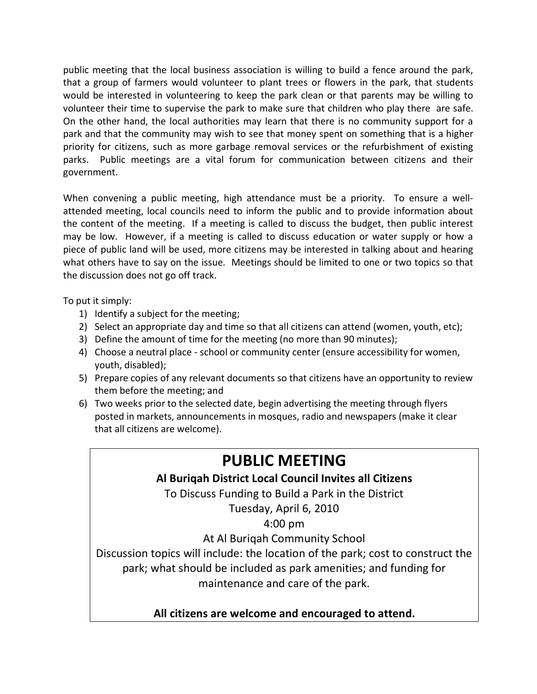public meeting that the local business association is willing to build a fence around the park, that a group of farmers would volunteer to plant trees or flowers in the park, that students would be interested in volunteering to keep the park clean or that parents may be willing to volunteer their time to supervise the park to make sure that children who play there are safe. On the other hand, the local authorities may learn that there is no community support for a park and that the community may wish to see that money spent on something that is a higher priority for citizens, such as more garbage removal services or the refurbishment of existing parks. Public meetings are a vital forum for communication between citizens and their government.

When convening a public meeting, high attendance must be a priority. To ensure a wellattended meeting, local councils need to inform the public and to provide information about the content of the meeting. If a meeting is called to discuss the budget, then public interest may be low. However, if a meeting is called to discuss education or water supply or how a piece of public land will be used, more citizens may be interested in talking about and hearing what others have to say on the issue. Meetings should be limited to one or two topics so that the discussion does not go off track.

To put it simply:

- 1) Identify a subject for the meeting;
- 2) Select an appropriate day and time so that all citizens can attend (women, youth, etc);
- 3) Define the amount of time for the meeting (no more than 90 minutes);
- 4) Choose a neutral place school or community center (ensure accessibility for women, youth, disabled);
- 5) Prepare copies of any relevant documents so that citizens have an opportunity to review them before the meeting; and
- 6) Two weeks prior to the selected date, begin advertising the meeting through flyers posted in markets, announcements in mosques, radio and newspapers (make it clear that all citizens are welcome).

# **PUBLIC MEETING**

# **Al Buriqah District Local Council Invites all Citizens**

To Discuss Funding to Build a Park in the District

Tuesday, April 6, 2010

4:00 pm

At Al Buriqah Community School

Discussion topics will include: the location of the park; cost to construct the park; what should be included as park amenities; and funding for maintenance and care of the park.

**All citizens are welcome and encouraged to attend.**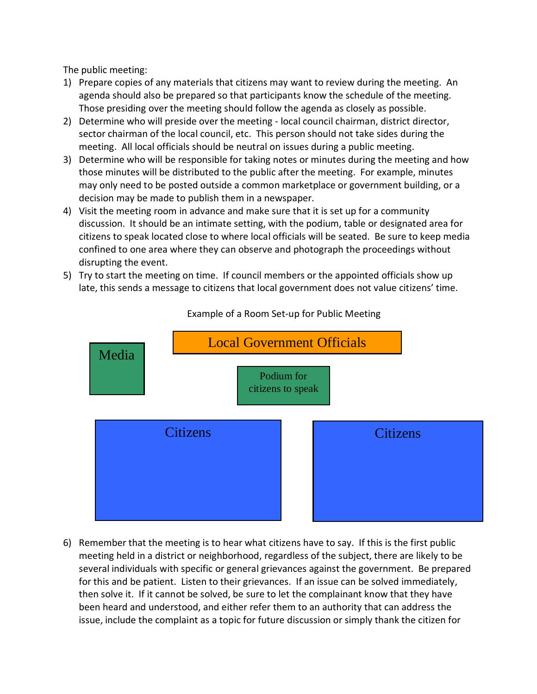The public meeting:

- 1) Prepare copies of any materials that citizens may want to review during the meeting. An agenda should also be prepared so that participants know the schedule of the meeting. Those presiding over the meeting should follow the agenda as closely as possible.
- 2) Determine who will preside over the meeting local council chairman, district director, sector chairman of the local council, etc. This person should not take sides during the meeting. All local officials should be neutral on issues during a public meeting.
- 3) Determine who will be responsible for taking notes or minutes during the meeting and how those minutes will be distributed to the public after the meeting. For example, minutes may only need to be posted outside a common marketplace or government building, or a decision may be made to publish them in a newspaper.
- 4) Visit the meeting room in advance and make sure that it is set up for a community discussion. It should be an intimate setting, with the podium, table or designated area for citizens to speak located close to where local officials will be seated. Be sure to keep media confined to one area where they can observe and photograph the proceedings without disrupting the event.
- 5) Try to start the meeting on time. If council members or the appointed officials show up late, this sends a message to citizens that local government does not value citizens' time.



Example of a Room Set-up for Public Meeting

6) Remember that the meeting is to hear what citizens have to say. If this is the first public meeting held in a district or neighborhood, regardless of the subject, there are likely to be several individuals with specific or general grievances against the government. Be prepared for this and be patient. Listen to their grievances. If an issue can be solved immediately, then solve it. If it cannot be solved, be sure to let the complainant know that they have been heard and understood, and either refer them to an authority that can address the issue, include the complaint as a topic for future discussion or simply thank the citizen for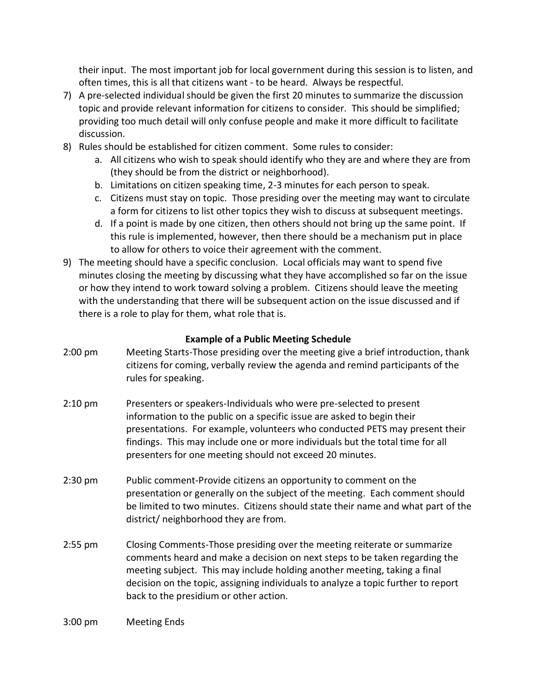their input. The most important job for local government during this session is to listen, and often times, this is all that citizens want - to be heard. Always be respectful.

- 7) A pre-selected individual should be given the first 20 minutes to summarize the discussion topic and provide relevant information for citizens to consider. This should be simplified; providing too much detail will only confuse people and make it more difficult to facilitate discussion.
- 8) Rules should be established for citizen comment. Some rules to consider:
	- a. All citizens who wish to speak should identify who they are and where they are from (they should be from the district or neighborhood).
	- b. Limitations on citizen speaking time, 2-3 minutes for each person to speak.
	- c. Citizens must stay on topic. Those presiding over the meeting may want to circulate a form for citizens to list other topics they wish to discuss at subsequent meetings.
	- d. If a point is made by one citizen, then others should not bring up the same point. If this rule is implemented, however, then there should be a mechanism put in place to allow for others to voice their agreement with the comment.
- 9) The meeting should have a specific conclusion. Local officials may want to spend five minutes closing the meeting by discussing what they have accomplished so far on the issue or how they intend to work toward solving a problem. Citizens should leave the meeting with the understanding that there will be subsequent action on the issue discussed and if there is a role to play for them, what role that is.

# **Example of a Public Meeting Schedule**

- 2:00 pm Meeting Starts-Those presiding over the meeting give a brief introduction, thank citizens for coming, verbally review the agenda and remind participants of the rules for speaking.
- 2:10 pm Presenters or speakers-Individuals who were pre-selected to present information to the public on a specific issue are asked to begin their presentations. For example, volunteers who conducted PETS may present their findings. This may include one or more individuals but the total time for all presenters for one meeting should not exceed 20 minutes.
- 2:30 pm Public comment-Provide citizens an opportunity to comment on the presentation or generally on the subject of the meeting. Each comment should be limited to two minutes. Citizens should state their name and what part of the district/ neighborhood they are from.
- 2:55 pm Closing Comments-Those presiding over the meeting reiterate or summarize comments heard and make a decision on next steps to be taken regarding the meeting subject. This may include holding another meeting, taking a final decision on the topic, assigning individuals to analyze a topic further to report back to the presidium or other action.

#### 3:00 pm Meeting Ends